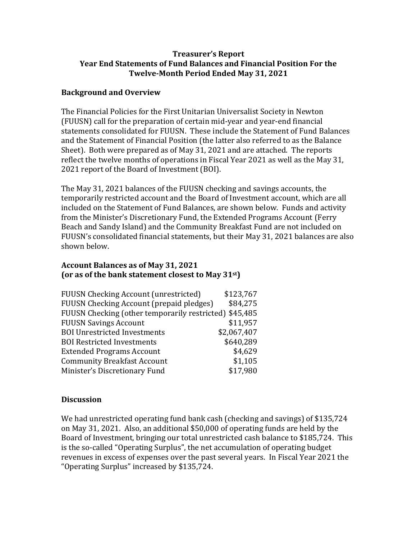### **Treasurer's Report Year End Statements of Fund Balances and Financial Position For the Twelve-Month Period Ended May 31, 2021**

### **Background and Overview**

The Financial Policies for the First Unitarian Universalist Society in Newton (FUUSN) call for the preparation of certain mid-year and year-end financial statements consolidated for FUUSN. These include the Statement of Fund Balances and the Statement of Financial Position (the latter also referred to as the Balance Sheet). Both were prepared as of May 31, 2021 and are attached. The reports reflect the twelve months of operations in Fiscal Year 2021 as well as the May 31, 2021 report of the Board of Investment (BOI).

The May 31, 2021 balances of the FUUSN checking and savings accounts, the temporarily restricted account and the Board of Investment account, which are all included on the Statement of Fund Balances, are shown below. Funds and activity from the Minister's Discretionary Fund, the Extended Programs Account (Ferry Beach and Sandy Island) and the Community Breakfast Fund are not included on FUUSN's consolidated financial statements, but their May 31, 2021 balances are also shown below.

## **Account Balances as of May 31, 2021 (or as of the bank statement closest to May 31st)**

| <b>FUUSN Checking Account (unrestricted)</b>           | \$123,767   |
|--------------------------------------------------------|-------------|
| <b>FUUSN Checking Account (prepaid pledges)</b>        | \$84,275    |
| FUUSN Checking (other temporarily restricted) \$45,485 |             |
| <b>FUUSN Savings Account</b>                           | \$11,957    |
| <b>BOI Unrestricted Investments</b>                    | \$2,067,407 |
| <b>BOI Restricted Investments</b>                      | \$640,289   |
| <b>Extended Programs Account</b>                       | \$4,629     |
| <b>Community Breakfast Account</b>                     | \$1,105     |
| Minister's Discretionary Fund                          | \$17,980    |

# **Discussion**

We had unrestricted operating fund bank cash (checking and savings) of \$135,724 on May 31, 2021. Also, an additional \$50,000 of operating funds are held by the Board of Investment, bringing our total unrestricted cash balance to \$185,724. This is the so-called "Operating Surplus", the net accumulation of operating budget revenues in excess of expenses over the past several years. In Fiscal Year 2021 the "Operating Surplus" increased by \$135,724.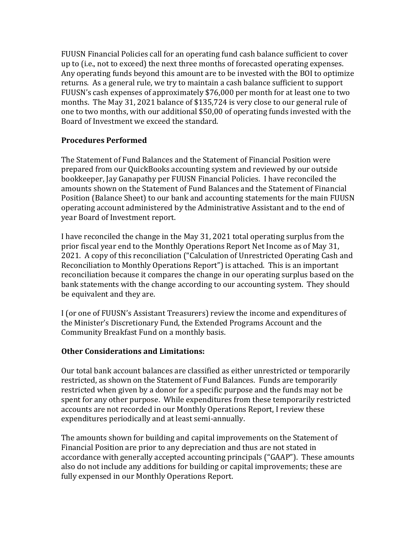FUUSN Financial Policies call for an operating fund cash balance sufficient to cover up to (i.e., not to exceed) the next three months of forecasted operating expenses. Any operating funds beyond this amount are to be invested with the BOI to optimize returns. As a general rule, we try to maintain a cash balance sufficient to support FUUSN's cash expenses of approximately \$76,000 per month for at least one to two months. The May 31, 2021 balance of \$135,724 is very close to our general rule of one to two months, with our additional \$50,00 of operating funds invested with the Board of Investment we exceed the standard.

### **Procedures Performed**

The Statement of Fund Balances and the Statement of Financial Position were prepared from our QuickBooks accounting system and reviewed by our outside bookkeeper, Jay Ganapathy per FUUSN Financial Policies. I have reconciled the amounts shown on the Statement of Fund Balances and the Statement of Financial Position (Balance Sheet) to our bank and accounting statements for the main FUUSN operating account administered by the Administrative Assistant and to the end of year Board of Investment report.

I have reconciled the change in the May 31, 2021 total operating surplus from the prior fiscal year end to the Monthly Operations Report Net Income as of May 31, 2021. A copy of this reconciliation ("Calculation of Unrestricted Operating Cash and Reconciliation to Monthly Operations Report") is attached. This is an important reconciliation because it compares the change in our operating surplus based on the bank statements with the change according to our accounting system. They should be equivalent and they are.

I (or one of FUUSN's Assistant Treasurers) review the income and expenditures of the Minister's Discretionary Fund, the Extended Programs Account and the Community Breakfast Fund on a monthly basis.

### **Other Considerations and Limitations:**

Our total bank account balances are classified as either unrestricted or temporarily restricted, as shown on the Statement of Fund Balances. Funds are temporarily restricted when given by a donor for a specific purpose and the funds may not be spent for any other purpose. While expenditures from these temporarily restricted accounts are not recorded in our Monthly Operations Report, I review these expenditures periodically and at least semi-annually.

The amounts shown for building and capital improvements on the Statement of Financial Position are prior to any depreciation and thus are not stated in accordance with generally accepted accounting principals ("GAAP"). These amounts also do not include any additions for building or capital improvements; these are fully expensed in our Monthly Operations Report.